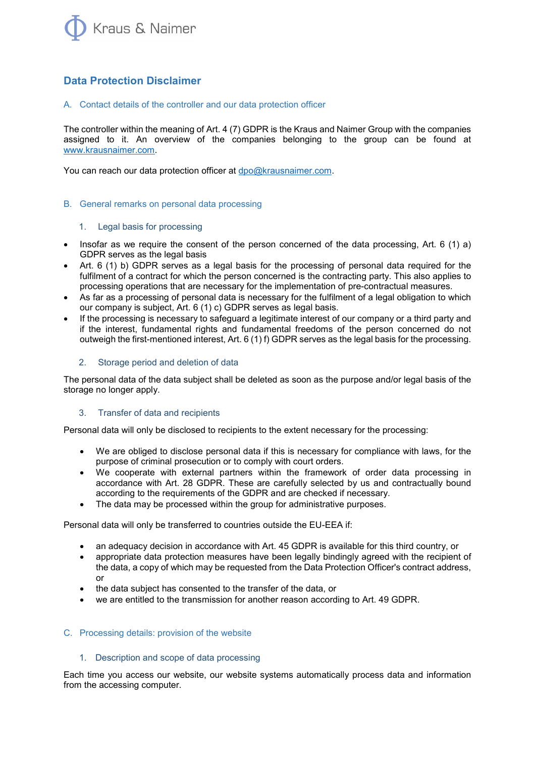

# **Data Protection Disclaimer**

# A. Contact details of the controller and our data protection officer

The controller within the meaning of Art. 4 (7) GDPR is the Kraus and Naimer Group with the companies assigned to it. An overview of the companies belonging to the group can be found at [www.krausnaimer.com.](http://www.krausnaimer.com/)

You can reach our data protection officer at [dpo@krausnaimer.com.](mailto:dpo@krausnaimer.com)

# B. General remarks on personal data processing

# 1. Legal basis for processing

- Insofar as we require the consent of the person concerned of the data processing, Art. 6 (1) a) GDPR serves as the legal basis
- Art. 6 (1) b) GDPR serves as a legal basis for the processing of personal data required for the fulfilment of a contract for which the person concerned is the contracting party. This also applies to processing operations that are necessary for the implementation of pre-contractual measures.
- As far as a processing of personal data is necessary for the fulfilment of a legal obligation to which our company is subject, Art. 6 (1) c) GDPR serves as legal basis.
- If the processing is necessary to safeguard a legitimate interest of our company or a third party and if the interest, fundamental rights and fundamental freedoms of the person concerned do not outweigh the first-mentioned interest, Art. 6 (1) f) GDPR serves as the legal basis for the processing.

# 2. Storage period and deletion of data

The personal data of the data subject shall be deleted as soon as the purpose and/or legal basis of the storage no longer apply.

# 3. Transfer of data and recipients

Personal data will only be disclosed to recipients to the extent necessary for the processing:

- We are obliged to disclose personal data if this is necessary for compliance with laws, for the purpose of criminal prosecution or to comply with court orders.
- We cooperate with external partners within the framework of order data processing in accordance with Art. 28 GDPR. These are carefully selected by us and contractually bound according to the requirements of the GDPR and are checked if necessary.
- The data may be processed within the group for administrative purposes.

Personal data will only be transferred to countries outside the EU-EEA if:

- an adequacy decision in accordance with Art. 45 GDPR is available for this third country, or
- appropriate data protection measures have been legally bindingly agreed with the recipient of the data, a copy of which may be requested from the Data Protection Officer's contract address, or
- the data subject has consented to the transfer of the data, or
- we are entitled to the transmission for another reason according to Art. 49 GDPR.

# C. Processing details: provision of the website

# 1. Description and scope of data processing

Each time you access our website, our website systems automatically process data and information from the accessing computer.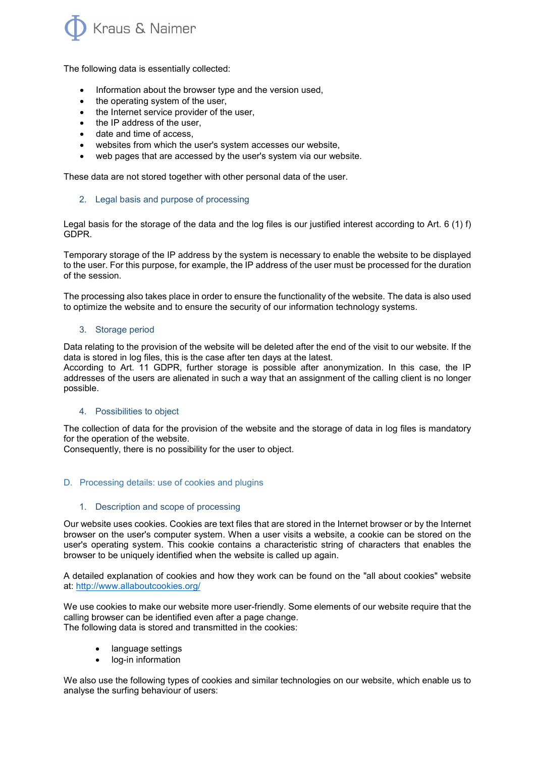

The following data is essentially collected:

- Information about the browser type and the version used,
- the operating system of the user,
- the Internet service provider of the user,
- the IP address of the user,
- date and time of access,
- websites from which the user's system accesses our website,
- web pages that are accessed by the user's system via our website.

These data are not stored together with other personal data of the user.

# 2. Legal basis and purpose of processing

Legal basis for the storage of the data and the log files is our justified interest according to Art. 6 (1) f) GDPR.

Temporary storage of the IP address by the system is necessary to enable the website to be displayed to the user. For this purpose, for example, the IP address of the user must be processed for the duration of the session.

The processing also takes place in order to ensure the functionality of the website. The data is also used to optimize the website and to ensure the security of our information technology systems.

# 3. Storage period

Data relating to the provision of the website will be deleted after the end of the visit to our website. If the data is stored in log files, this is the case after ten days at the latest.

According to Art. 11 GDPR, further storage is possible after anonymization. In this case, the IP addresses of the users are alienated in such a way that an assignment of the calling client is no longer possible.

# 4. Possibilities to object

The collection of data for the provision of the website and the storage of data in log files is mandatory for the operation of the website.

Consequently, there is no possibility for the user to object.

# D. Processing details: use of cookies and plugins

# 1. Description and scope of processing

Our website uses cookies. Cookies are text files that are stored in the Internet browser or by the Internet browser on the user's computer system. When a user visits a website, a cookie can be stored on the user's operating system. This cookie contains a characteristic string of characters that enables the browser to be uniquely identified when the website is called up again.

A detailed explanation of cookies and how they work can be found on the "all about cookies" website at:<http://www.allaboutcookies.org/>

We use cookies to make our website more user-friendly. Some elements of our website require that the calling browser can be identified even after a page change. The following data is stored and transmitted in the cookies:

- language settings
- log-in information

We also use the following types of cookies and similar technologies on our website, which enable us to analyse the surfing behaviour of users: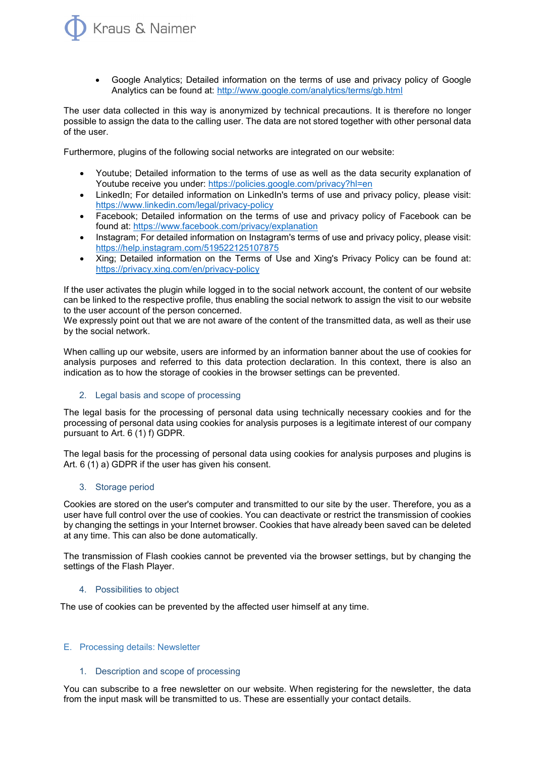

• Google Analytics; Detailed information on the terms of use and privacy policy of Google Analytics can be found at:<http://www.google.com/analytics/terms/gb.html>

The user data collected in this way is anonymized by technical precautions. It is therefore no longer possible to assign the data to the calling user. The data are not stored together with other personal data of the user.

Furthermore, plugins of the following social networks are integrated on our website:

- Youtube; Detailed information to the terms of use as well as the data security explanation of Youtube receive you under:<https://policies.google.com/privacy?hl=en>
- LinkedIn; For detailed information on LinkedIn's terms of use and privacy policy, please visit: <https://www.linkedin.com/legal/privacy-policy>
- Facebook; Detailed information on the terms of use and privacy policy of Facebook can be found at:<https://www.facebook.com/privacy/explanation>
- Instagram; For detailed information on Instagram's terms of use and privacy policy, please visit: <https://help.instagram.com/519522125107875>
- Xing; Detailed information on the Terms of Use and Xing's Privacy Policy can be found at: <https://privacy.xing.com/en/privacy-policy>

If the user activates the plugin while logged in to the social network account, the content of our website can be linked to the respective profile, thus enabling the social network to assign the visit to our website to the user account of the person concerned.

We expressly point out that we are not aware of the content of the transmitted data, as well as their use by the social network.

When calling up our website, users are informed by an information banner about the use of cookies for analysis purposes and referred to this data protection declaration. In this context, there is also an indication as to how the storage of cookies in the browser settings can be prevented.

# 2. Legal basis and scope of processing

The legal basis for the processing of personal data using technically necessary cookies and for the processing of personal data using cookies for analysis purposes is a legitimate interest of our company pursuant to Art. 6 (1) f) GDPR.

The legal basis for the processing of personal data using cookies for analysis purposes and plugins is Art. 6 (1) a) GDPR if the user has given his consent.

# 3. Storage period

Cookies are stored on the user's computer and transmitted to our site by the user. Therefore, you as a user have full control over the use of cookies. You can deactivate or restrict the transmission of cookies by changing the settings in your Internet browser. Cookies that have already been saved can be deleted at any time. This can also be done automatically.

The transmission of Flash cookies cannot be prevented via the browser settings, but by changing the settings of the Flash Player.

# 4. Possibilities to object

The use of cookies can be prevented by the affected user himself at any time.

# E. Processing details: Newsletter

# 1. Description and scope of processing

You can subscribe to a free newsletter on our website. When registering for the newsletter, the data from the input mask will be transmitted to us. These are essentially your contact details.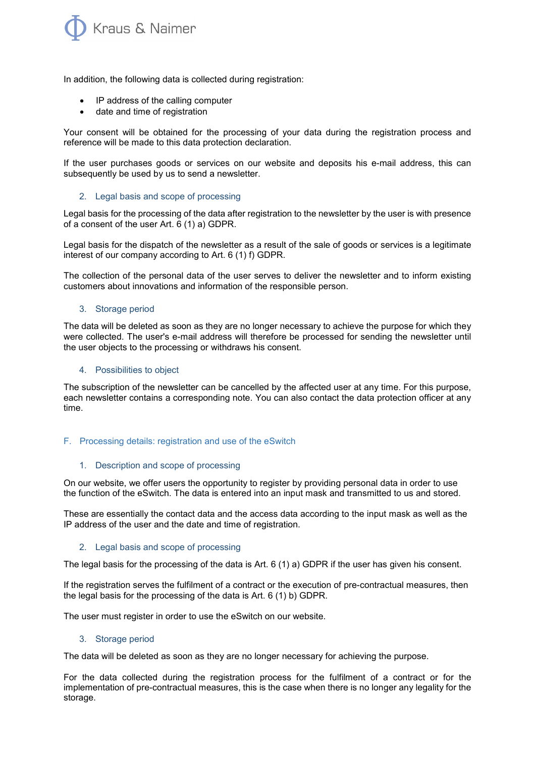

In addition, the following data is collected during registration:

- IP address of the calling computer
- date and time of registration

Your consent will be obtained for the processing of your data during the registration process and reference will be made to this data protection declaration.

If the user purchases goods or services on our website and deposits his e-mail address, this can subsequently be used by us to send a newsletter.

#### 2. Legal basis and scope of processing

Legal basis for the processing of the data after registration to the newsletter by the user is with presence of a consent of the user Art. 6 (1) a) GDPR.

Legal basis for the dispatch of the newsletter as a result of the sale of goods or services is a legitimate interest of our company according to Art. 6 (1) f) GDPR.

The collection of the personal data of the user serves to deliver the newsletter and to inform existing customers about innovations and information of the responsible person.

### 3. Storage period

The data will be deleted as soon as they are no longer necessary to achieve the purpose for which they were collected. The user's e-mail address will therefore be processed for sending the newsletter until the user objects to the processing or withdraws his consent.

#### 4. Possibilities to object

The subscription of the newsletter can be cancelled by the affected user at any time. For this purpose, each newsletter contains a corresponding note. You can also contact the data protection officer at any time.

#### F. Processing details: registration and use of the eSwitch

#### 1. Description and scope of processing

On our website, we offer users the opportunity to register by providing personal data in order to use the function of the eSwitch. The data is entered into an input mask and transmitted to us and stored.

These are essentially the contact data and the access data according to the input mask as well as the IP address of the user and the date and time of registration.

#### 2. Legal basis and scope of processing

The legal basis for the processing of the data is Art. 6 (1) a) GDPR if the user has given his consent.

If the registration serves the fulfilment of a contract or the execution of pre-contractual measures, then the legal basis for the processing of the data is Art. 6 (1) b) GDPR.

The user must register in order to use the eSwitch on our website.

#### 3. Storage period

The data will be deleted as soon as they are no longer necessary for achieving the purpose.

For the data collected during the registration process for the fulfilment of a contract or for the implementation of pre-contractual measures, this is the case when there is no longer any legality for the storage.